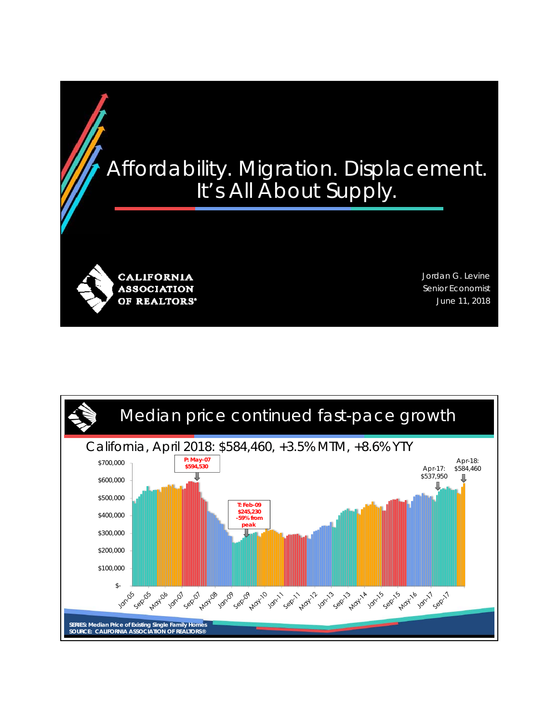## Affordability. Migration. Displacement. It's All About Supply.

**CALIFORNIA ASSOCIATION** OF REALTORS'

Jordan G. Levine Senior Economist June 11, 2018

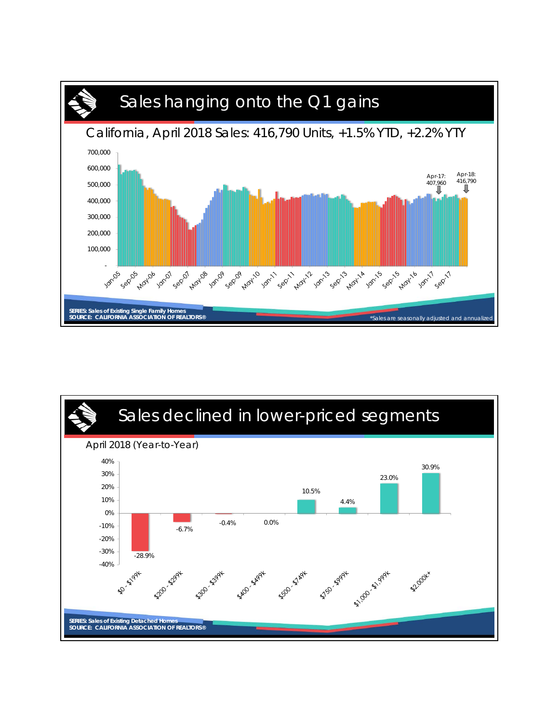

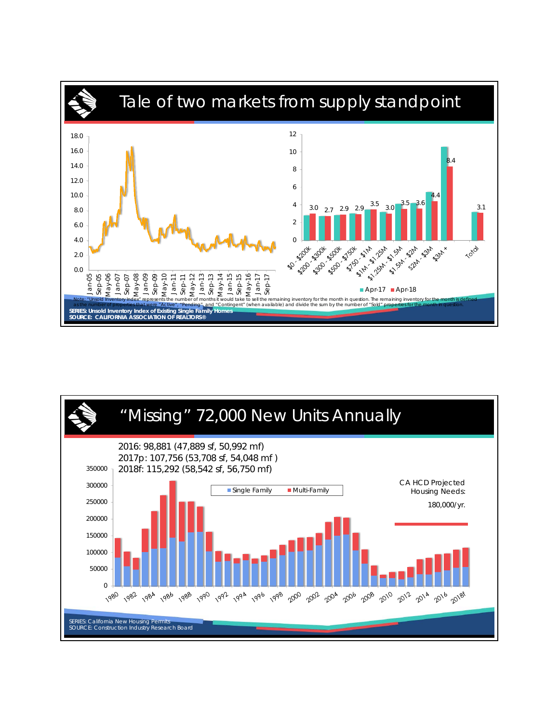

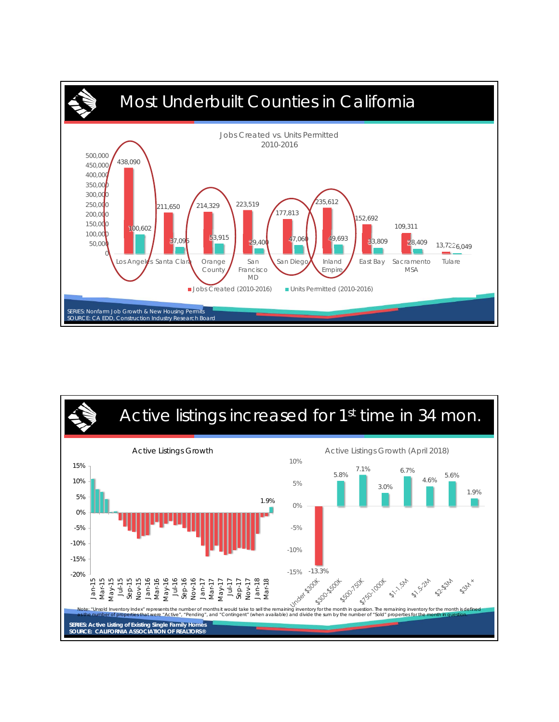

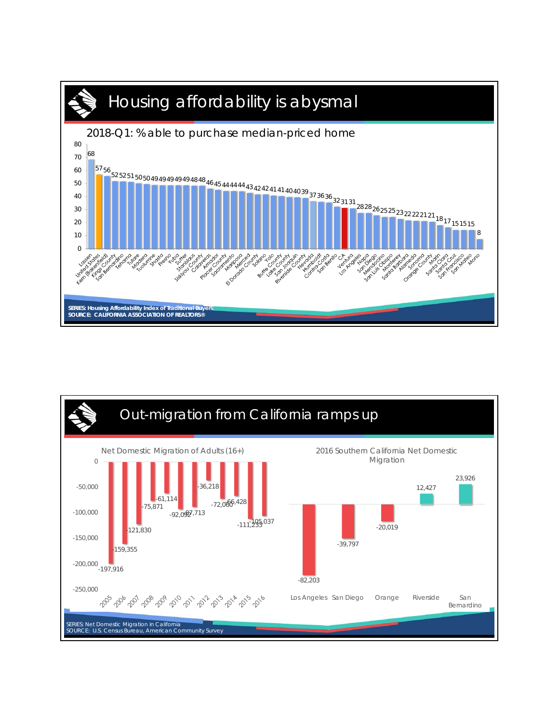

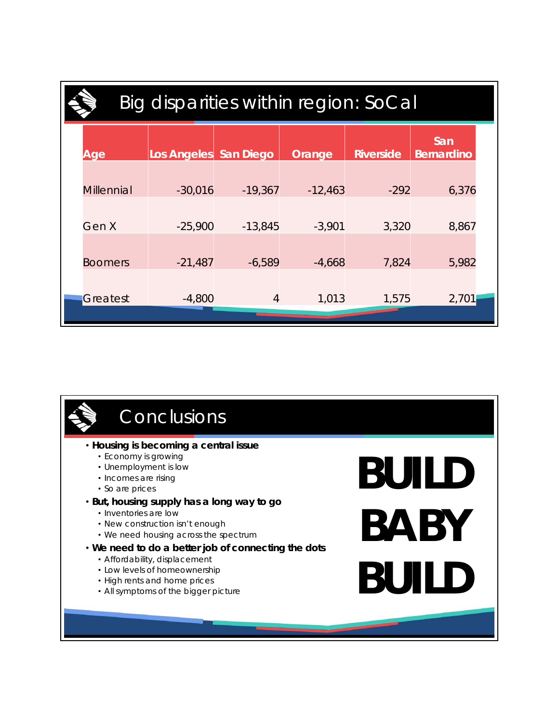| Big disparities within region: SoCal |                       |           |           |                  |                          |  |
|--------------------------------------|-----------------------|-----------|-----------|------------------|--------------------------|--|
| Age                                  | Los Angeles San Diego |           | Orange    | <b>Riverside</b> | San<br><b>Bernardino</b> |  |
| <b>Millennial</b>                    | $-30,016$             | $-19,367$ | $-12,463$ | $-292$           | 6,376                    |  |
| Gen X                                | $-25,900$             | $-13,845$ | $-3,901$  | 3,320            | 8,867                    |  |
| <b>Boomers</b>                       | $-21,487$             | $-6,589$  | $-4,668$  | 7,824            | 5,982                    |  |
| Greatest                             | $-4,800$              | 4         | 1,013     | 1,575            | 2,701                    |  |
|                                      |                       |           |           |                  |                          |  |

## • **Housing is becoming a central issue** • Economy is growing • Unemployment is low • Incomes are rising • So are prices • **But, housing supply has a long way to go** • Inventories are low • New construction isn't enough • We need housing across the spectrum • **We need to do a better job of connecting the dots** • Affordability, displacement • Low levels of homeownership • High rents and home prices • All symptoms of the bigger picture **Conclusions BUILD BABY BUILD**